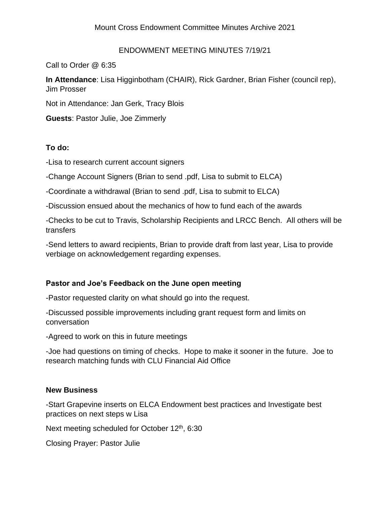#### ENDOWMENT MEETING MINUTES 7/19/21

Call to Order @ 6:35

**In Attendance**: Lisa Higginbotham (CHAIR), Rick Gardner, Brian Fisher (council rep), Jim Prosser

Not in Attendance: Jan Gerk, Tracy Blois

**Guests**: Pastor Julie, Joe Zimmerly

### **To do:**

-Lisa to research current account signers

-Change Account Signers (Brian to send .pdf, Lisa to submit to ELCA)

-Coordinate a withdrawal (Brian to send .pdf, Lisa to submit to ELCA)

-Discussion ensued about the mechanics of how to fund each of the awards

-Checks to be cut to Travis, Scholarship Recipients and LRCC Bench. All others will be transfers

-Send letters to award recipients, Brian to provide draft from last year, Lisa to provide verbiage on acknowledgement regarding expenses.

### **Pastor and Joe's Feedback on the June open meeting**

-Pastor requested clarity on what should go into the request.

-Discussed possible improvements including grant request form and limits on conversation

-Agreed to work on this in future meetings

-Joe had questions on timing of checks. Hope to make it sooner in the future. Joe to research matching funds with CLU Financial Aid Office

### **New Business**

-Start Grapevine inserts on ELCA Endowment best practices and Investigate best practices on next steps w Lisa

Next meeting scheduled for October 12<sup>th</sup>, 6:30

Closing Prayer: Pastor Julie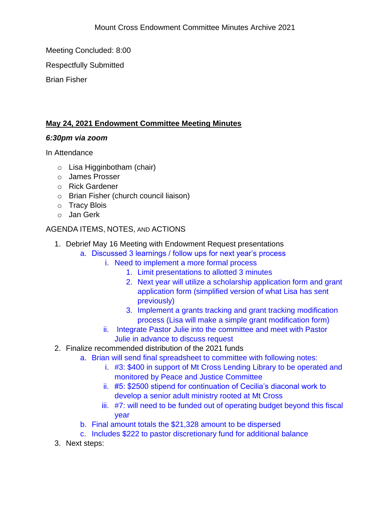Meeting Concluded: 8:00

Respectfully Submitted

Brian Fisher

# **May 24, 2021 Endowment Committee Meeting Minutes**

## *6:30pm via zoom*

In Attendance

- o Lisa Higginbotham (chair)
- o James Prosser
- o Rick Gardener
- o Brian Fisher (church council liaison)
- o Tracy Blois
- o Jan Gerk

# AGENDA ITEMS, NOTES, AND ACTIONS

- 1. Debrief May 16 Meeting with Endowment Request presentations
	- a. Discussed 3 learnings / follow ups for next year's process
		- i. Need to implement a more formal process
			- 1. Limit presentations to allotted 3 minutes
			- 2. Next year will utilize a scholarship application form and grant application form (simplified version of what Lisa has sent previously)
			- 3. Implement a grants tracking and grant tracking modification process (Lisa will make a simple grant modification form)
		- ii. Integrate Pastor Julie into the committee and meet with Pastor Julie in advance to discuss request
- 2. Finalize recommended distribution of the 2021 funds
	- a. Brian will send final spreadsheet to committee with following notes:
		- i. #3: \$400 in support of Mt Cross Lending Library to be operated and monitored by Peace and Justice Committee
		- ii. #5: \$2500 stipend for continuation of Cecilia's diaconal work to develop a senior adult ministry rooted at Mt Cross
		- iii. #7: will need to be funded out of operating budget beyond this fiscal year
	- b. Final amount totals the \$21,328 amount to be dispersed
	- c. Includes \$222 to pastor discretionary fund for additional balance
- 3. Next steps: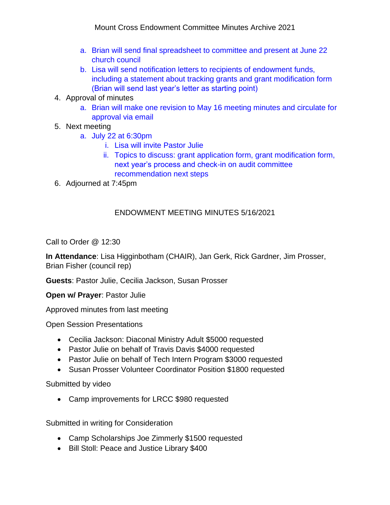- a. Brian will send final spreadsheet to committee and present at June 22 church council
- b. Lisa will send notification letters to recipients of endowment funds, including a statement about tracking grants and grant modification form (Brian will send last year's letter as starting point)
- 4. Approval of minutes
	- a. Brian will make one revision to May 16 meeting minutes and circulate for approval via email
- 5. Next meeting
	- a. July 22 at 6:30pm
		- i. Lisa will invite Pastor Julie
		- ii. Topics to discuss: grant application form, grant modification form, next year's process and check-in on audit committee recommendation next steps
- 6. Adjourned at 7:45pm

## ENDOWMENT MEETING MINUTES 5/16/2021

Call to Order @ 12:30

**In Attendance**: Lisa Higginbotham (CHAIR), Jan Gerk, Rick Gardner, Jim Prosser, Brian Fisher (council rep)

**Guests**: Pastor Julie, Cecilia Jackson, Susan Prosser

**Open w/ Prayer**: Pastor Julie

Approved minutes from last meeting

Open Session Presentations

- Cecilia Jackson: Diaconal Ministry Adult \$5000 requested
- Pastor Julie on behalf of Travis Davis \$4000 requested
- Pastor Julie on behalf of Tech Intern Program \$3000 requested
- Susan Prosser Volunteer Coordinator Position \$1800 requested

Submitted by video

• Camp improvements for LRCC \$980 requested

Submitted in writing for Consideration

- Camp Scholarships Joe Zimmerly \$1500 requested
- Bill Stoll: Peace and Justice Library \$400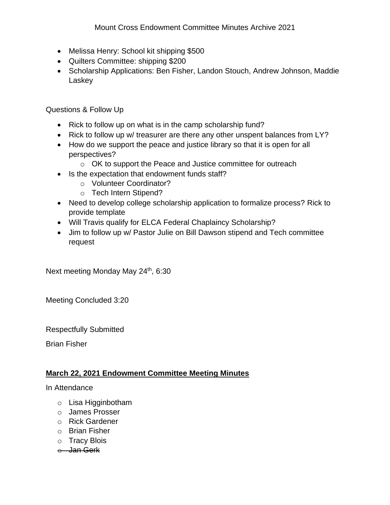- Melissa Henry: School kit shipping \$500
- Quilters Committee: shipping \$200
- Scholarship Applications: Ben Fisher, Landon Stouch, Andrew Johnson, Maddie Laskey

Questions & Follow Up

- Rick to follow up on what is in the camp scholarship fund?
- Rick to follow up w/ treasurer are there any other unspent balances from LY?
- How do we support the peace and justice library so that it is open for all perspectives?
	- o OK to support the Peace and Justice committee for outreach
- Is the expectation that endowment funds staff?
	- o Volunteer Coordinator?
	- o Tech Intern Stipend?
- Need to develop college scholarship application to formalize process? Rick to provide template
- Will Travis qualify for ELCA Federal Chaplaincy Scholarship?
- Jim to follow up w/ Pastor Julie on Bill Dawson stipend and Tech committee request

Next meeting Monday May 24<sup>th</sup>, 6:30

Meeting Concluded 3:20

Respectfully Submitted

Brian Fisher

# **March 22, 2021 Endowment Committee Meeting Minutes**

In Attendance

- o Lisa Higginbotham
- o James Prosser
- o Rick Gardener
- o Brian Fisher
- o Tracy Blois
- o Jan Gerk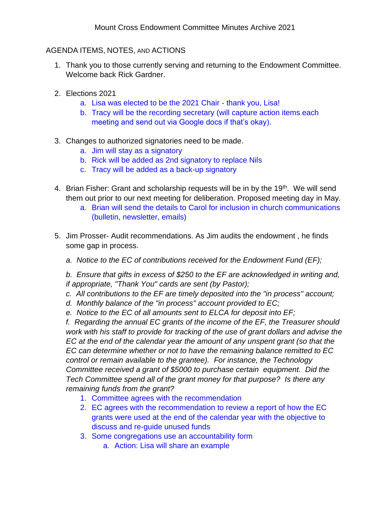### AGENDA ITEMS, NOTES, AND ACTIONS

- 1. Thank you to those currently serving and returning to the Endowment Committee. Welcome back Rick Gardner.
- 2. Elections 2021
	- a. Lisa was elected to be the 2021 Chair thank you, Lisa!
	- b. Tracy will be the recording secretary (will capture action items each meeting and send out via Google docs if that's okay).
- 3. Changes to authorized signatories need to be made.
	- a. Jim will stay as a signatory
	- b. Rick will be added as 2nd signatory to replace Nils
	- c. Tracy will be added as a back-up signatory
- 4. Brian Fisher: Grant and scholarship requests will be in by the 19<sup>th</sup>. We will send them out prior to our next meeting for deliberation. Proposed meeting day in May.
	- a. Brian will send the details to Carol for inclusion in church communications (bulletin, newsletter, emails)
- 5. Jim Prosser- Audit recommendations. As Jim audits the endowment , he finds some gap in process.
	- *a. Notice to the EC of contributions received for the Endowment Fund (EF);*

*b. Ensure that gifts in excess of \$250 to the EF are acknowledged in writing and, if appropriate, "Thank You" cards are sent (by Pastor);*

- *c. All contributions to the EF are timely deposited into the "in process" account;*
- *d. Monthly balance of the "in process" account provided to EC;*
- *e. Notice to the EC of all amounts sent to ELCA for deposit into EF;*

*f. Regarding the annual EC grants of the income of the EF, the Treasurer should work with his staff to provide for tracking of the use of grant dollars and advise the EC at the end of the calendar year the amount of any unspent grant (so that the EC can determine whether or not to have the remaining balance remitted to EC control or remain available to the grantee). For instance, the Technology Committee received a grant of \$5000 to purchase certain equipment. Did the Tech Committee spend all of the grant money for that purpose? Is there any remaining funds from the grant?*

- 1. Committee agrees with the recommendation
- 2. EC agrees with the recommendation to review a report of how the EC grants were used at the end of the calendar year with the objective to discuss and re-guide unused funds
- 3. Some congregations use an accountability form
	- a. Action: Lisa will share an example